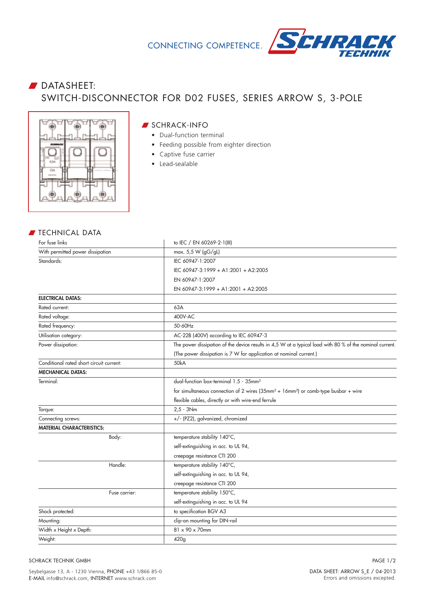

## **DATASHEET:** SWITCH-DISCONNECTOR FOR D02 FUSES, SERIES ARROW S, 3-POLE



## W SCHRACK-INFO

- Dual-function terminal
- Feeding possible from eighter direction
- Captive fuse carrier
- Lead-sealable

## **FECHNICAL DATA**

| For fuse links                           | to IEC / EN 60269-2-1(III)                                                                               |
|------------------------------------------|----------------------------------------------------------------------------------------------------------|
| With permitted power dissipation         | max. 5,5 W (gG/gL)                                                                                       |
| Standards:                               | IEC 60947-1:2007                                                                                         |
|                                          | IEC 60947-3:1999 + A1:2001 + A2:2005                                                                     |
|                                          | EN 60947-1:2007                                                                                          |
|                                          | EN 60947-3:1999 + A1:2001 + A2:2005                                                                      |
| <b>ELECTRICAL DATAS:</b>                 |                                                                                                          |
| Rated current:                           | 63A                                                                                                      |
| Rated voltage:                           | 400V-AC                                                                                                  |
| Rated frequency:                         | 50-60Hz                                                                                                  |
| Utilisation category:                    | AC-22B (400V) according to IEC 60947-3                                                                   |
| Power dissipation:                       | The power dissipation of the device results in 4,5 W at a typical load with 80 % of the nominal current. |
|                                          | (The power dissipation is 7 W for application at nominal current.)                                       |
| Conditional rated short circuit current: | 50kA                                                                                                     |
| <b>MECHANICAL DATAS:</b>                 |                                                                                                          |
| Terminal:                                | dual-function box-terminal 1.5 - 35mm <sup>2</sup>                                                       |
|                                          | for simultaneous connection of 2 wires ( $35mm^2 + 16mm^2$ ) or comb-type busbar + wire                  |
|                                          | flexible cables, directly or with wire-end ferrule                                                       |
| Torque:                                  | $2.5 - 3Nm$                                                                                              |
| Connecting screws:                       | +/- (PZ2), galvanized, chromized                                                                         |
| <b>MATERIAL CHARACTERISTICS:</b>         |                                                                                                          |
| Body:                                    | temperature stability 140°C,                                                                             |
|                                          | self-extinguishing in acc. to UL 94,                                                                     |
|                                          | creepage resistance CTI 200                                                                              |
| Handle:                                  | temperature stability 140°C,                                                                             |
|                                          | self-extinguishing in acc. to UL 94,                                                                     |
|                                          | creepage resistance CTI 200                                                                              |
| Fuse carrier:                            | temperature stability 150°C,                                                                             |
|                                          | self-extinguishing in acc. to UL 94                                                                      |
| Shock protected:                         | to specification BGV A3                                                                                  |
| Mounting:                                | clip-on mounting for DIN-rail                                                                            |
| Width x Height x Depth:                  | 81 x 90 x 70mm                                                                                           |
| Weight:                                  | 420g                                                                                                     |

SCHRACK TECHNIK GMBH

PAGE 1/2